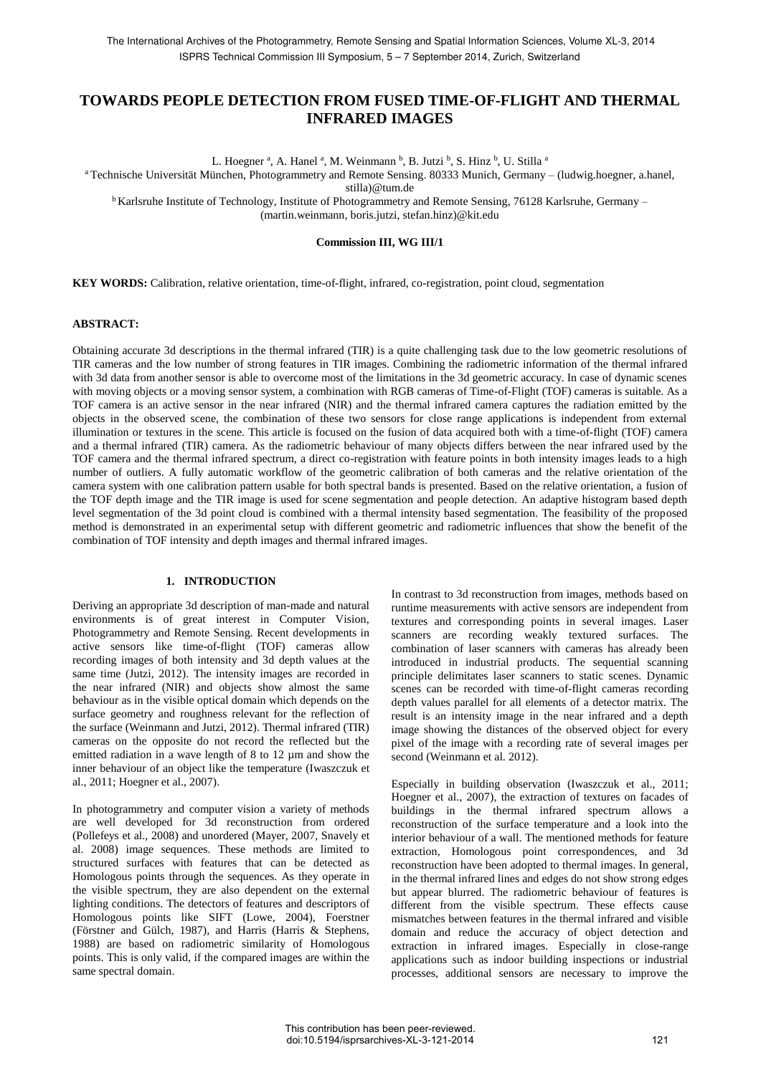# **TOWARDS PEOPLE DETECTION FROM FUSED TIME-OF-FLIGHT AND THERMAL INFRARED IMAGES**

L. Hoegner<sup>a</sup>, A. Hanel<sup>a</sup>, M. Weinmann<sup>b</sup>, B. Jutzi<sup>b</sup>, S. Hinz<sup>b</sup>, U. Stilla<sup>a</sup>

<sup>a</sup>Technische Universität München, Photogrammetry and Remote Sensing. 80333 Munich, Germany – (ludwig.hoegner, a.hanel,

stilla)@tum.de

<sup>b</sup> Karlsruhe Institute of Technology, Institute of Photogrammetry and Remote Sensing, 76128 Karlsruhe, Germany – (martin.weinmann, boris.jutzi, stefan.hinz)@kit.edu

**Commission III, WG III/1**

**KEY WORDS:** Calibration, relative orientation, time-of-flight, infrared, co-registration, point cloud, segmentation

#### **ABSTRACT:**

Obtaining accurate 3d descriptions in the thermal infrared (TIR) is a quite challenging task due to the low geometric resolutions of TIR cameras and the low number of strong features in TIR images. Combining the radiometric information of the thermal infrared with 3d data from another sensor is able to overcome most of the limitations in the 3d geometric accuracy. In case of dynamic scenes with moving objects or a moving sensor system, a combination with RGB cameras of Time-of-Flight (TOF) cameras is suitable. As a TOF camera is an active sensor in the near infrared (NIR) and the thermal infrared camera captures the radiation emitted by the objects in the observed scene, the combination of these two sensors for close range applications is independent from external illumination or textures in the scene. This article is focused on the fusion of data acquired both with a time-of-flight (TOF) camera and a thermal infrared (TIR) camera. As the radiometric behaviour of many objects differs between the near infrared used by the TOF camera and the thermal infrared spectrum, a direct co-registration with feature points in both intensity images leads to a high number of outliers. A fully automatic workflow of the geometric calibration of both cameras and the relative orientation of the camera system with one calibration pattern usable for both spectral bands is presented. Based on the relative orientation, a fusion of the TOF depth image and the TIR image is used for scene segmentation and people detection. An adaptive histogram based depth level segmentation of the 3d point cloud is combined with a thermal intensity based segmentation. The feasibility of the proposed method is demonstrated in an experimental setup with different geometric and radiometric influences that show the benefit of the combination of TOF intensity and depth images and thermal infrared images.

### **1. INTRODUCTION**

Deriving an appropriate 3d description of man-made and natural environments is of great interest in Computer Vision, Photogrammetry and Remote Sensing. Recent developments in active sensors like time-of-flight (TOF) cameras allow recording images of both intensity and 3d depth values at the same time (Jutzi, 2012). The intensity images are recorded in the near infrared (NIR) and objects show almost the same behaviour as in the visible optical domain which depends on the surface geometry and roughness relevant for the reflection of the surface (Weinmann and Jutzi, 2012). Thermal infrared (TIR) cameras on the opposite do not record the reflected but the emitted radiation in a wave length of 8 to 12 µm and show the inner behaviour of an object like the temperature (Iwaszczuk et al., 2011; Hoegner et al., 2007).

In photogrammetry and computer vision a variety of methods are well developed for 3d reconstruction from ordered (Pollefeys et al., 2008) and unordered (Mayer, 2007, Snavely et al. 2008) image sequences. These methods are limited to structured surfaces with features that can be detected as Homologous points through the sequences. As they operate in the visible spectrum, they are also dependent on the external lighting conditions. The detectors of features and descriptors of Homologous points like SIFT (Lowe, 2004), Foerstner (Förstner and Gülch, 1987), and Harris (Harris & Stephens, 1988) are based on radiometric similarity of Homologous points. This is only valid, if the compared images are within the same spectral domain.

In contrast to 3d reconstruction from images, methods based on runtime measurements with active sensors are independent from textures and corresponding points in several images. Laser scanners are recording weakly textured surfaces. The combination of laser scanners with cameras has already been introduced in industrial products. The sequential scanning principle delimitates laser scanners to static scenes. Dynamic scenes can be recorded with time-of-flight cameras recording depth values parallel for all elements of a detector matrix. The result is an intensity image in the near infrared and a depth image showing the distances of the observed object for every pixel of the image with a recording rate of several images per second (Weinmann et al. 2012).

Especially in building observation (Iwaszczuk et al., 2011; Hoegner et al., 2007), the extraction of textures on facades of buildings in the thermal infrared spectrum allows a reconstruction of the surface temperature and a look into the interior behaviour of a wall. The mentioned methods for feature extraction, Homologous point correspondences, and 3d reconstruction have been adopted to thermal images. In general, in the thermal infrared lines and edges do not show strong edges but appear blurred. The radiometric behaviour of features is different from the visible spectrum. These effects cause mismatches between features in the thermal infrared and visible domain and reduce the accuracy of object detection and extraction in infrared images. Especially in close-range applications such as indoor building inspections or industrial processes, additional sensors are necessary to improve the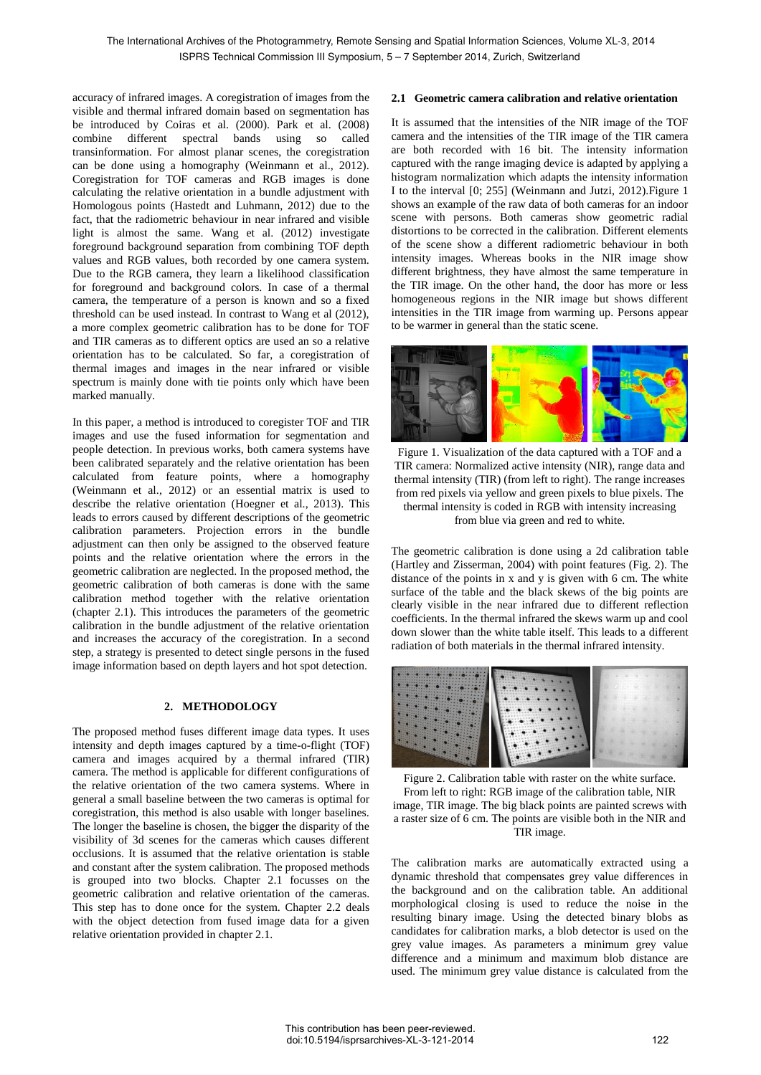accuracy of infrared images. A coregistration of images from the visible and thermal infrared domain based on segmentation has be introduced by Coiras et al. (2000). Park et al. (2008) combine different spectral bands using so called transinformation. For almost planar scenes, the coregistration can be done using a homography (Weinmann et al., 2012). Coregistration for TOF cameras and RGB images is done calculating the relative orientation in a bundle adjustment with Homologous points (Hastedt and Luhmann, 2012) due to the fact, that the radiometric behaviour in near infrared and visible light is almost the same. Wang et al. (2012) investigate foreground background separation from combining TOF depth values and RGB values, both recorded by one camera system. Due to the RGB camera, they learn a likelihood classification for foreground and background colors. In case of a thermal camera, the temperature of a person is known and so a fixed threshold can be used instead. In contrast to Wang et al (2012), a more complex geometric calibration has to be done for TOF and TIR cameras as to different optics are used an so a relative orientation has to be calculated. So far, a coregistration of thermal images and images in the near infrared or visible spectrum is mainly done with tie points only which have been marked manually.

In this paper, a method is introduced to coregister TOF and TIR images and use the fused information for segmentation and people detection. In previous works, both camera systems have been calibrated separately and the relative orientation has been calculated from feature points, where a homography (Weinmann et al., 2012) or an essential matrix is used to describe the relative orientation (Hoegner et al., 2013). This leads to errors caused by different descriptions of the geometric calibration parameters. Projection errors in the bundle adjustment can then only be assigned to the observed feature points and the relative orientation where the errors in the geometric calibration are neglected. In the proposed method, the geometric calibration of both cameras is done with the same calibration method together with the relative orientation (chapter 2.1). This introduces the parameters of the geometric calibration in the bundle adjustment of the relative orientation and increases the accuracy of the coregistration. In a second step, a strategy is presented to detect single persons in the fused image information based on depth layers and hot spot detection.

## **2. METHODOLOGY**

The proposed method fuses different image data types. It uses intensity and depth images captured by a time-o-flight (TOF) camera and images acquired by a thermal infrared (TIR) camera. The method is applicable for different configurations of the relative orientation of the two camera systems. Where in general a small baseline between the two cameras is optimal for coregistration, this method is also usable with longer baselines. The longer the baseline is chosen, the bigger the disparity of the visibility of 3d scenes for the cameras which causes different occlusions. It is assumed that the relative orientation is stable and constant after the system calibration. The proposed methods is grouped into two blocks. Chapter 2.1 focusses on the geometric calibration and relative orientation of the cameras. This step has to done once for the system. Chapter 2.2 deals with the object detection from fused image data for a given relative orientation provided in chapter 2.1.

#### **2.1 Geometric camera calibration and relative orientation**

It is assumed that the intensities of the NIR image of the TOF camera and the intensities of the TIR image of the TIR camera are both recorded with 16 bit. The intensity information captured with the range imaging device is adapted by applying a histogram normalization which adapts the intensity information I to the interval [0; 255] (Weinmann and Jutzi, 2012).Figure 1 shows an example of the raw data of both cameras for an indoor scene with persons. Both cameras show geometric radial distortions to be corrected in the calibration. Different elements of the scene show a different radiometric behaviour in both intensity images. Whereas books in the NIR image show different brightness, they have almost the same temperature in the TIR image. On the other hand, the door has more or less homogeneous regions in the NIR image but shows different intensities in the TIR image from warming up. Persons appear to be warmer in general than the static scene.



Figure 1. Visualization of the data captured with a TOF and a TIR camera: Normalized active intensity (NIR), range data and thermal intensity (TIR) (from left to right). The range increases from red pixels via yellow and green pixels to blue pixels. The thermal intensity is coded in RGB with intensity increasing from blue via green and red to white.

The geometric calibration is done using a 2d calibration table (Hartley and Zisserman, 2004) with point features (Fig. 2). The distance of the points in x and y is given with 6 cm. The white surface of the table and the black skews of the big points are clearly visible in the near infrared due to different reflection coefficients. In the thermal infrared the skews warm up and cool down slower than the white table itself. This leads to a different radiation of both materials in the thermal infrared intensity.

| 膦                                                                             |            |  |  |  |  |
|-------------------------------------------------------------------------------|------------|--|--|--|--|
| $-0.190$<br><b>STORIES</b>                                                    |            |  |  |  |  |
| $\cdots$                                                                      |            |  |  |  |  |
| .<br>-<br><b>COLOR</b>                                                        |            |  |  |  |  |
| <b>BARBARA</b><br><b><i>PERSONAL PROPERTY AND INCOME.</i></b><br><b>STATE</b> |            |  |  |  |  |
|                                                                               | $\sim$     |  |  |  |  |
|                                                                               | <b>CAT</b> |  |  |  |  |
|                                                                               |            |  |  |  |  |
|                                                                               |            |  |  |  |  |

Figure 2. Calibration table with raster on the white surface. From left to right: RGB image of the calibration table, NIR image, TIR image. The big black points are painted screws with a raster size of 6 cm. The points are visible both in the NIR and TIR image.

The calibration marks are automatically extracted using a dynamic threshold that compensates grey value differences in the background and on the calibration table. An additional morphological closing is used to reduce the noise in the resulting binary image. Using the detected binary blobs as candidates for calibration marks, a blob detector is used on the grey value images. As parameters a minimum grey value difference and a minimum and maximum blob distance are used. The minimum grey value distance is calculated from the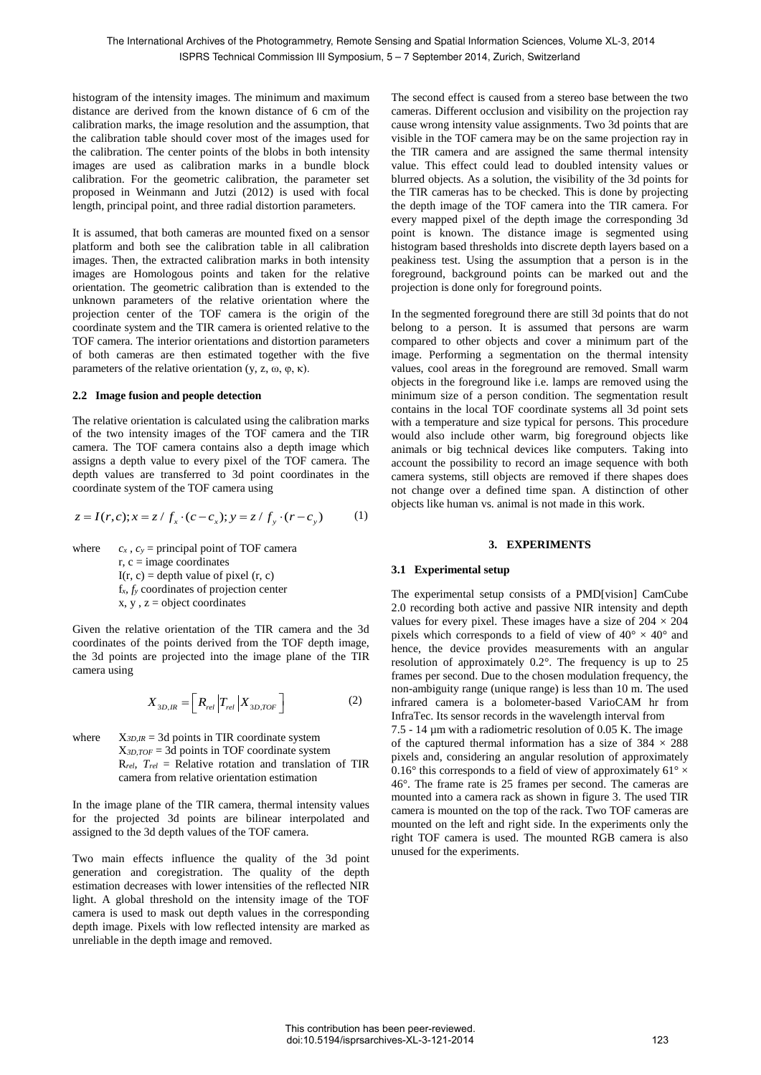histogram of the intensity images. The minimum and maximum distance are derived from the known distance of 6 cm of the calibration marks, the image resolution and the assumption, that the calibration table should cover most of the images used for the calibration. The center points of the blobs in both intensity images are used as calibration marks in a bundle block calibration. For the geometric calibration, the parameter set proposed in Weinmann and Jutzi (2012) is used with focal length, principal point, and three radial distortion parameters.

It is assumed, that both cameras are mounted fixed on a sensor platform and both see the calibration table in all calibration images. Then, the extracted calibration marks in both intensity images are Homologous points and taken for the relative orientation. The geometric calibration than is extended to the unknown parameters of the relative orientation where the projection center of the TOF camera is the origin of the coordinate system and the TIR camera is oriented relative to the TOF camera. The interior orientations and distortion parameters of both cameras are then estimated together with the five parameters of the relative orientation (y, z, ω, φ, κ).

#### **2.2 Image fusion and people detection**

The relative orientation is calculated using the calibration marks of the two intensity images of the TOF camera and the TIR camera. The TOF camera contains also a depth image which assigns a depth value to every pixel of the TOF camera. The depth values are transferred to 3d point coordinates in the

coordinate system of the TOF camera using  
\n
$$
z = I(r, c); x = z / f_x \cdot (c - c_x); y = z / f_y \cdot (r - c_y)
$$
\n(1)

where  $c_x$ ,  $c_y$  = principal point of TOF camera  $r, c = image coordinates$  $I(r, c) =$  depth value of pixel  $(r, c)$ f*x, f<sup>y</sup>* coordinates of projection center  $x, y, z =$ object coordinates

Given the relative orientation of the TIR camera and the 3d coordinates of the points derived from the TOF depth image, the 3d points are projected into the image plane of the TIR camera using

$$
X_{3D,IR} = \left[ \left. R_{rel} \right| T_{rel} \right| X_{3D,TOF} \right] \tag{2}
$$

where  $X_{3D,IR} = 3d$  points in TIR coordinate system X*3D,TOF* = 3d points in TOF coordinate system R*rel, Trel* = Relative rotation and translation of TIR camera from relative orientation estimation

In the image plane of the TIR camera, thermal intensity values for the projected 3d points are bilinear interpolated and assigned to the 3d depth values of the TOF camera.

Two main effects influence the quality of the 3d point generation and coregistration. The quality of the depth estimation decreases with lower intensities of the reflected NIR light. A global threshold on the intensity image of the TOF camera is used to mask out depth values in the corresponding depth image. Pixels with low reflected intensity are marked as unreliable in the depth image and removed.

The second effect is caused from a stereo base between the two cameras. Different occlusion and visibility on the projection ray cause wrong intensity value assignments. Two 3d points that are visible in the TOF camera may be on the same projection ray in the TIR camera and are assigned the same thermal intensity value. This effect could lead to doubled intensity values or blurred objects. As a solution, the visibility of the 3d points for the TIR cameras has to be checked. This is done by projecting the depth image of the TOF camera into the TIR camera. For every mapped pixel of the depth image the corresponding 3d point is known. The distance image is segmented using histogram based thresholds into discrete depth layers based on a peakiness test. Using the assumption that a person is in the foreground, background points can be marked out and the projection is done only for foreground points.

In the segmented foreground there are still 3d points that do not belong to a person. It is assumed that persons are warm compared to other objects and cover a minimum part of the image. Performing a segmentation on the thermal intensity values, cool areas in the foreground are removed. Small warm objects in the foreground like i.e. lamps are removed using the minimum size of a person condition. The segmentation result contains in the local TOF coordinate systems all 3d point sets with a temperature and size typical for persons. This procedure would also include other warm, big foreground objects like animals or big technical devices like computers. Taking into account the possibility to record an image sequence with both camera systems, still objects are removed if there shapes does not change over a defined time span. A distinction of other objects like human vs. animal is not made in this work.

#### **3. EXPERIMENTS**

### **3.1 Experimental setup**

The experimental setup consists of a PMD[vision] CamCube 2.0 recording both active and passive NIR intensity and depth values for every pixel. These images have a size of  $204 \times 204$ pixels which corresponds to a field of view of  $40^{\circ} \times 40^{\circ}$  and hence, the device provides measurements with an angular resolution of approximately 0.2°. The frequency is up to 25 frames per second. Due to the chosen modulation frequency, the non-ambiguity range (unique range) is less than 10 m. The used infrared camera is a bolometer-based VarioCAM hr from InfraTec. Its sensor records in the wavelength interval from

7.5 - 14 µm with a radiometric resolution of 0.05 K. The image of the captured thermal information has a size of  $384 \times 288$ pixels and, considering an angular resolution of approximately 0.16 $\degree$  this corresponds to a field of view of approximately 61 $\degree$  × 46°. The frame rate is 25 frames per second. The cameras are mounted into a camera rack as shown in figure 3. The used TIR camera is mounted on the top of the rack. Two TOF cameras are mounted on the left and right side. In the experiments only the right TOF camera is used. The mounted RGB camera is also unused for the experiments.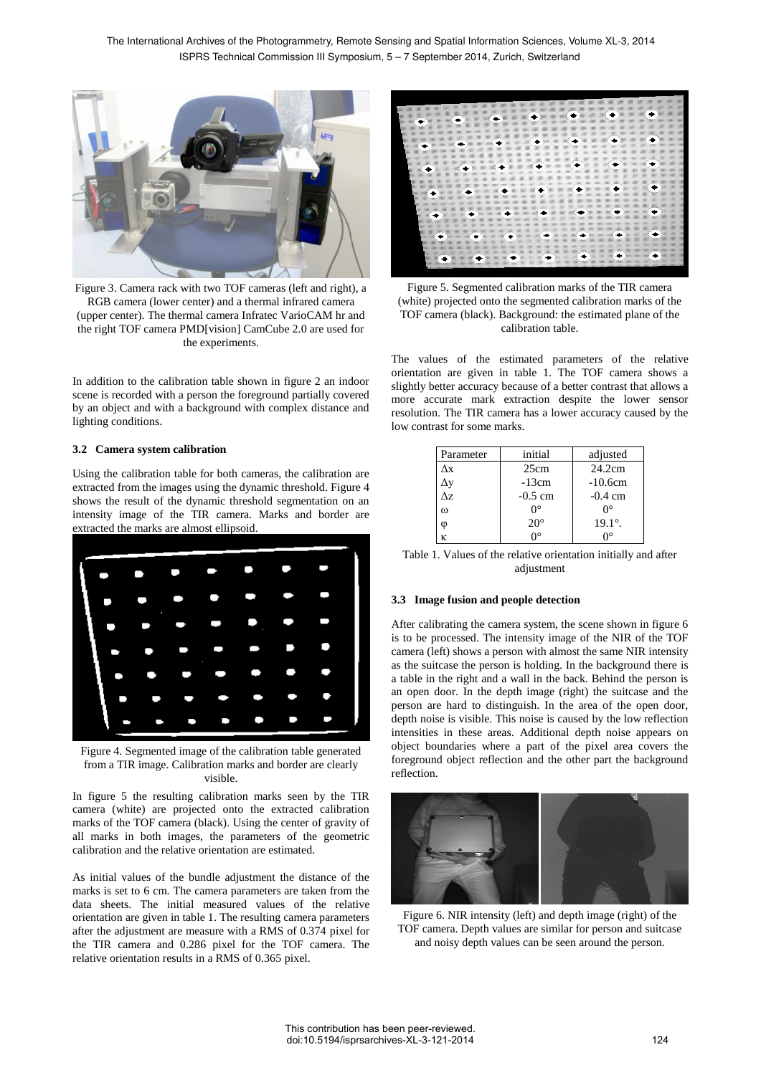

Figure 3. Camera rack with two TOF cameras (left and right), a RGB camera (lower center) and a thermal infrared camera (upper center). The thermal camera Infratec VarioCAM hr and the right TOF camera PMD[vision] CamCube 2.0 are used for the experiments.

In addition to the calibration table shown in figure 2 an indoor scene is recorded with a person the foreground partially covered by an object and with a background with complex distance and lighting conditions.

### **3.2 Camera system calibration**

Using the calibration table for both cameras, the calibration are extracted from the images using the dynamic threshold. Figure 4 shows the result of the dynamic threshold segmentation on an intensity image of the TIR camera. Marks and border are extracted the marks are almost ellipsoid.



Figure 4. Segmented image of the calibration table generated from a TIR image. Calibration marks and border are clearly visible.

In figure 5 the resulting calibration marks seen by the TIR camera (white) are projected onto the extracted calibration marks of the TOF camera (black). Using the center of gravity of all marks in both images, the parameters of the geometric calibration and the relative orientation are estimated.

As initial values of the bundle adjustment the distance of the marks is set to 6 cm. The camera parameters are taken from the data sheets. The initial measured values of the relative orientation are given in table 1. The resulting camera parameters after the adjustment are measure with a RMS of 0.374 pixel for the TIR camera and 0.286 pixel for the TOF camera. The relative orientation results in a RMS of 0.365 pixel.



Figure 5. Segmented calibration marks of the TIR camera (white) projected onto the segmented calibration marks of the TOF camera (black). Background: the estimated plane of the calibration table.

The values of the estimated parameters of the relative orientation are given in table 1. The TOF camera shows a slightly better accuracy because of a better contrast that allows a more accurate mark extraction despite the lower sensor resolution. The TIR camera has a lower accuracy caused by the low contrast for some marks.

| Parameter | initial          | adjusted         |
|-----------|------------------|------------------|
| Лx        | 25cm             | 24.2cm           |
| Δv        | $-13cm$          | $-10.6cm$        |
| Λz.       | $-0.5$ cm        | $-0.4$ cm        |
| $\omega$  | $\Omega^{\circ}$ | Ω°               |
| $\omega$  | $20^{\circ}$     | $19.1^{\circ}$ . |
| ĸ         | Ω°               |                  |
|           |                  |                  |

| Table 1. Values of the relative orientation initially and after |
|-----------------------------------------------------------------|
| adjustment                                                      |

## **3.3 Image fusion and people detection**

After calibrating the camera system, the scene shown in figure 6 is to be processed. The intensity image of the NIR of the TOF camera (left) shows a person with almost the same NIR intensity as the suitcase the person is holding. In the background there is a table in the right and a wall in the back. Behind the person is an open door. In the depth image (right) the suitcase and the person are hard to distinguish. In the area of the open door, depth noise is visible. This noise is caused by the low reflection intensities in these areas. Additional depth noise appears on object boundaries where a part of the pixel area covers the foreground object reflection and the other part the background reflection.



Figure 6. NIR intensity (left) and depth image (right) of the TOF camera. Depth values are similar for person and suitcase and noisy depth values can be seen around the person.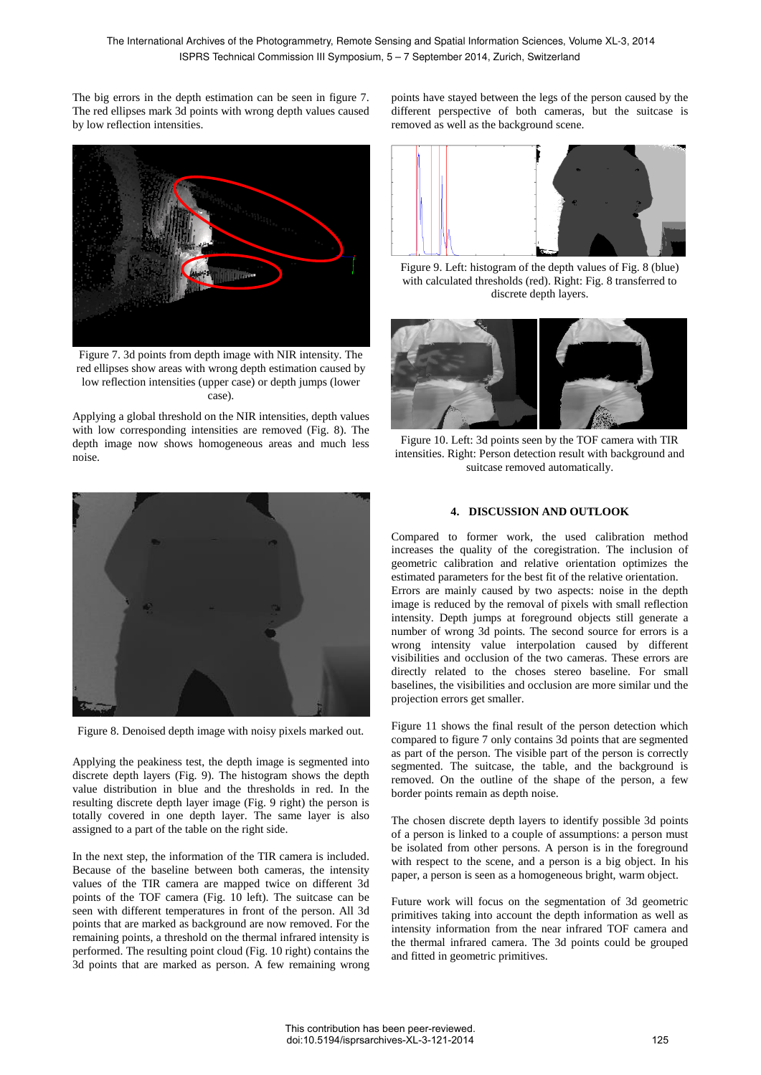The big errors in the depth estimation can be seen in figure 7. The red ellipses mark 3d points with wrong depth values caused by low reflection intensities.



Figure 7. 3d points from depth image with NIR intensity. The red ellipses show areas with wrong depth estimation caused by low reflection intensities (upper case) or depth jumps (lower case).

Applying a global threshold on the NIR intensities, depth values with low corresponding intensities are removed (Fig. 8). The depth image now shows homogeneous areas and much less noise.



Figure 8. Denoised depth image with noisy pixels marked out.

Applying the peakiness test, the depth image is segmented into discrete depth layers (Fig. 9). The histogram shows the depth value distribution in blue and the thresholds in red. In the resulting discrete depth layer image (Fig. 9 right) the person is totally covered in one depth layer. The same layer is also assigned to a part of the table on the right side.

In the next step, the information of the TIR camera is included. Because of the baseline between both cameras, the intensity values of the TIR camera are mapped twice on different 3d points of the TOF camera (Fig. 10 left). The suitcase can be seen with different temperatures in front of the person. All 3d points that are marked as background are now removed. For the remaining points, a threshold on the thermal infrared intensity is performed. The resulting point cloud (Fig. 10 right) contains the 3d points that are marked as person. A few remaining wrong points have stayed between the legs of the person caused by the different perspective of both cameras, but the suitcase is removed as well as the background scene.



Figure 9. Left: histogram of the depth values of Fig. 8 (blue) with calculated thresholds (red). Right: Fig. 8 transferred to discrete depth layers.



Figure 10. Left: 3d points seen by the TOF camera with TIR intensities. Right: Person detection result with background and suitcase removed automatically.

### **4. DISCUSSION AND OUTLOOK**

Compared to former work, the used calibration method increases the quality of the coregistration. The inclusion of geometric calibration and relative orientation optimizes the estimated parameters for the best fit of the relative orientation. Errors are mainly caused by two aspects: noise in the depth image is reduced by the removal of pixels with small reflection intensity. Depth jumps at foreground objects still generate a number of wrong 3d points. The second source for errors is a wrong intensity value interpolation caused by different visibilities and occlusion of the two cameras. These errors are directly related to the choses stereo baseline. For small baselines, the visibilities and occlusion are more similar und the projection errors get smaller.

Figure 11 shows the final result of the person detection which compared to figure 7 only contains 3d points that are segmented as part of the person. The visible part of the person is correctly segmented. The suitcase, the table, and the background is removed. On the outline of the shape of the person, a few border points remain as depth noise.

The chosen discrete depth layers to identify possible 3d points of a person is linked to a couple of assumptions: a person must be isolated from other persons. A person is in the foreground with respect to the scene, and a person is a big object. In his paper, a person is seen as a homogeneous bright, warm object.

Future work will focus on the segmentation of 3d geometric primitives taking into account the depth information as well as intensity information from the near infrared TOF camera and the thermal infrared camera. The 3d points could be grouped and fitted in geometric primitives.